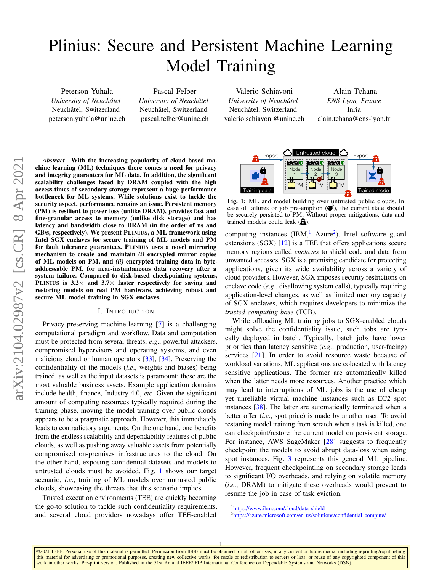# Plinius: Secure and Persistent Machine Learning Model Training

Peterson Yuhala *University of Neuchâtel* Neuchâtel, Switzerland peterson.yuhala@unine.ch

Pascal Felber *University of Neuchâtel* Neuchâtel, Switzerland pascal.felber@unine.ch

Valerio Schiavoni *University of Neuchâtel* Neuchâtel, Switzerland valerio.schiavoni@unine.ch

Alain Tchana *ENS Lyon, France* Inria alain.tchana@ens-lyon.fr

*Abstract*—With the increasing popularity of cloud based machine learning (ML) techniques there comes a need for privacy and integrity guarantees for ML data. In addition, the significant scalability challenges faced by DRAM coupled with the high access-times of secondary storage represent a huge performance bottleneck for ML systems. While solutions exist to tackle the security aspect, performance remains an issue. Persistent memory (PM) is resilient to power loss (unlike DRAM), provides fast and fine-granular access to memory (unlike disk storage) and has latency and bandwidth close to DRAM (in the order of ns and GB/s, respectively). We present PLINIUS, a ML framework using Intel SGX enclaves for secure training of ML models and PM for fault tolerance guarantees. PLINIUS uses a novel mirroring mechanism to create and maintain *(i)* encrypted mirror copies of ML models on PM, and *(ii)* encrypted training data in byteaddressable PM, for near-instantaneous data recovery after a system failure. Compared to disk-based checkpointing systems, PLINIUS is  $3.2 \times$  and  $3.7 \times$  faster respectively for saving and restoring models on real PM hardware, achieving robust and secure ML model training in SGX enclaves.

# I. INTRODUCTION

Privacy-preserving machine-learning [\[7\]](#page-10-0) is a challenging computational paradigm and workflow. Data and computation must be protected from several threats, *e*.*g*., powerful attackers, compromised hypervisors and operating systems, and even malicious cloud or human operators [\[33\]](#page-10-1), [\[34\]](#page-10-2). Preserving the confidentiality of the models (*i*.*e*., weights and biases) being trained, as well as the input datasets is paramount: these are the most valuable business assets. Example application domains include health, finance, Industry 4.0, *etc*. Given the significant amount of computing resources typically required during the training phase, moving the model training over public clouds appears to be a pragmatic approach. However, this immediately leads to contradictory arguments. On the one hand, one benefits from the endless scalability and dependability features of public clouds, as well as pushing away valuable assets from potentially compromised on-premises infrastructures to the cloud. On the other hand, exposing confidential datasets and models to untrusted clouds must be avoided. Fig. [1](#page-0-0) shows our target scenario, *i*.*e*., training of ML models over untrusted public clouds, showcasing the threats that this scenario implies. Abstract—With the increasing popularity of cloud bused mandemand contributed clouds.<br> **And cloud providers are closed to the provider of the proportion and the proportion and the providers of the cloud providers are ensui** 

Trusted execution environments (TEE) are quickly becoming the go-to solution to tackle such confidentiality requirements,

<span id="page-0-0"></span>

Fig. 1: ML and model building over untrusted public clouds. In case of failures or job pre-emption  $(\bullet)$ , the current state should be securely persisted to PM. Without proper mitigations, data and trained models could leak  $(\mathbf{\overline{m}})$ .

computing instances  $(IBM, \frac{1}{2} Azure^2)$  $(IBM, \frac{1}{2} Azure^2)$  $(IBM, \frac{1}{2} Azure^2)$  $(IBM, \frac{1}{2} Azure^2)$  $(IBM, \frac{1}{2} Azure^2)$ . Intel software guard extensions  $(SGX)$  [\[12\]](#page-10-3) is a TEE that offers applications secure memory regions called *enclaves* to shield code and data from unwanted accesses. SGX is a promising candidate for protecting applications, given its wide availability across a variety of cloud providers. However, SGX imposes security restrictions on enclave code (*e*.*g*., disallowing system calls), typically requiring application-level changes, as well as limited memory capacity of SGX enclaves, which requires developers to minimize the *trusted computing base* (TCB).

While offloading ML training jobs to SGX-enabled clouds might solve the confidentiality issue, such jobs are typically deployed in batch. Typically, batch jobs have lower priorities than latency sensitive (*e*.*g*., production, user-facing) services [\[21\]](#page-10-4). In order to avoid resource waste because of workload variations, ML applications are colocated with latency sensitive applications. The former are automatically killed when the latter needs more resources. Another practice which may lead to interruptions of ML jobs is the use of cheap yet unreliable virtual machine instances such as EC2 spot instances [\[38\]](#page-10-5). The latter are automatically terminated when a better offer (*i*.*e*., spot price) is made by another user. To avoid restarting model training from scratch when a task is killed, one can checkpoint/restore the current model on persistent storage. For instance, AWS SageMaker [\[28\]](#page-10-6) suggests to frequently checkpoint the models to avoid abrupt data-loss when using spot instances. Fig. [3](#page-3-0) represents this general ML pipeline. However, frequent checkpointing on secondary storage leads to significant I/O overheads, and relying on volatile memory (*i*.*e*., DRAM) to mitigate these overheads would prevent to resume the job in case of task eviction.

<span id="page-0-1"></span><sup>1</sup><https://www.ibm.com/cloud/data-shield>

<span id="page-0-2"></span><sup>2</sup><https://azure.microsoft.com/en-us/solutions/confidential-compute/>

©2021 IEEE. Personal use of this material is permitted. Permission from IEEE must be obtained for all other uses, in any current or future media, including reprinting/republishing this material for advertising or promotional purposes, creating new collective works, for resale or redistribution to servers or lists, or reuse of any copyrighted component of this work in other works. Pre-print version. Published in the 51st Annual IEEE/IFIP International Conference on Dependable Systems and Networks (DSN). 1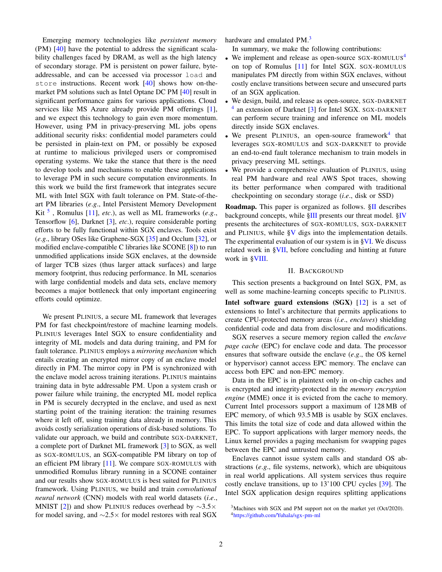Emerging memory technologies like *persistent memory* (PM) [\[40\]](#page-10-7) have the potential to address the significant scalability challenges faced by DRAM, as well as the high latency of secondary storage. PM is persistent on power failure, byteaddressable, and can be accessed via processor load and store instructions. Recent work [\[40\]](#page-10-7) shows how on-themarket PM solutions such as Intel Optane DC PM [\[40\]](#page-10-7) result in significant performance gains for various applications. Cloud services like MS Azure already provide PM offerings [\[1\]](#page-10-8), and we expect this technology to gain even more momentum. However, using PM in privacy-preserving ML jobs opens additional security risks: confidential model parameters could be persisted in plain-text on PM, or possibly be exposed at runtime to malicious privileged users or compromised operating systems. We take the stance that there is the need to develop tools and mechanisms to enable these applications to leverage PM in such secure computation environments. In this work we build the first framework that integrates secure ML with Intel SGX with fault tolerance on PM. State-of-theart PM libraries (*e*.*g*., Intel Persistent Memory Development Kit [5](#page-2-0) , Romulus [\[11\]](#page-10-9), *etc*.), as well as ML frameworks (*e*.*g*., Tensorflow [\[6\]](#page-10-10), Darknet [\[3\]](#page-10-11), *etc*.), require considerable porting efforts to be fully functional within SGX enclaves. Tools exist (*e*.*g*., library OSes like Graphene-SGX [\[35\]](#page-10-12) and Occlum [\[32\]](#page-10-13), or modified enclave-compatible C libraries like SCONE [\[8\]](#page-10-14)) to run unmodified applications inside SGX enclaves, at the downside of larger TCB sizes (thus larger attack surfaces) and large memory footprint, thus reducing performance. In ML scenarios with large confidential models and data sets, enclave memory becomes a major bottleneck that only important engineering efforts could optimize.

We present PLINIUS, a secure ML framework that leverages PM for fast checkpoint/restore of machine learning models. PLINIUS leverages Intel SGX to ensure confidentiality and integrity of ML models and data during training, and PM for fault tolerance. PLINIUS employs a *mirroring mechanism* which entails creating an encrypted mirror copy of an enclave model directly in PM. The mirror copy in PM is synchronized with the enclave model across training iterations. PLINIUS maintains training data in byte addressable PM. Upon a system crash or power failure while training, the encrypted ML model replica in PM is securely decrypted in the enclave, and used as next starting point of the training iteration: the training resumes where it left off, using training data already in memory. This avoids costly serialization operations of disk-based solutions. To validate our approach, we build and contribute SGX-DARKNET, a complete port of Darknet ML framework [\[3\]](#page-10-11) to SGX, as well as SGX-ROMULUS, an SGX-compatible PM library on top of an efficient PM library [\[11\]](#page-10-9). We compare SGX-ROMULUS with unmodified Romulus library running in a SCONE container and our results show SGX-ROMULUS is best suited for PLINIUS framework. Using PLINIUS, we build and train *convolutional neural network* (CNN) models with real world datasets (*i*.*e*., MNIST [\[2\]](#page-10-15)) and show PLINIUS reduces overhead by  $\sim$ 3.5× for model saving, and  $\sim$ 2.5× for model restores with real SGX hardware and emulated PM.<sup>[3](#page-1-0)</sup>

In summary, we make the following contributions:

- We implement and release as open-source SGX-ROMULUS<sup>[4](#page-1-1)</sup> on top of Romulus [\[11\]](#page-10-9) for Intel SGX. SGX-ROMULUS manipulates PM directly from within SGX enclaves, without costly enclave transitions between secure and unsecured parts of an SGX application.
- We design, build, and release as open-source, SGX-DARKNET <sup>[4](#page-1-1)</sup> an extension of Darknet [\[3\]](#page-10-11) for Intel SGX. SGX-DARKNET can perform secure training and inference on ML models directly inside SGX enclaves.
- We present PLINIUS, an open-source framework<sup>[4](#page-1-1)</sup> that leverages SGX-ROMULUS and SGX-DARKNET to provide an end-to-end fault tolerance mechanism to train models in privacy preserving ML settings.
- We provide a comprehensive evaluation of PLINIUS, using real PM hardware and real AWS Spot traces, showing its better performance when compared with traditional checkpointing on secondary storage (*i*.*e*., disk or SSD)

Roadmap. This paper is organized as follows. [§II](#page-1-2) describes background concepts, while [§III](#page-3-1) presents our threat model. [§IV](#page-3-2) presents the architectures of SGX-ROMULUS, SGX-DARKNET and PLINIUS, while  $\frac{8V}{8}$  digs into the implementation details. The experimental evaluation of our system is in [§VI.](#page-5-1) We discuss related work in [§VII,](#page-9-0) before concluding and hinting at future work in [§VIII.](#page-9-1)

## II. BACKGROUND

<span id="page-1-2"></span>This section presents a background on Intel SGX, PM, as well as some machine-learning concepts specific to PLINIUS.

Intel software guard extensions (SGX) [\[12\]](#page-10-3) is a set of extensions to Intel's architecture that permits applications to create CPU-protected memory areas (*i*.*e*., *enclaves*) shielding confidential code and data from disclosure and modifications.

SGX reserves a secure memory region called the *enclave page cache* (EPC) for enclave code and data. The processor ensures that software outside the enclave (*e*.*g*., the OS kernel or hypervisor) cannot access EPC memory. The enclave can access both EPC and non-EPC memory.

Data in the EPC is in plaintext only in on-chip caches and is encrypted and integrity-protected in the *memory encryption engine* (MME) once it is evicted from the cache to memory. Current Intel processors support a maximum of 128 MB of EPC memory, of which 93.5 MB is usable by SGX enclaves. This limits the total size of code and data allowed within the EPC. To support applications with larger memory needs, the Linux kernel provides a paging mechanism for swapping pages between the EPC and untrusted memory.

Enclaves cannot issue system calls and standard OS abstractions (*e*.*g*., file systems, network), which are ubiquitous in real world applications. All system services thus require costly enclave transitions, up to 13'100 CPU cycles [\[39\]](#page-10-16). The Intel SGX application design requires splitting applications

<span id="page-1-1"></span><span id="page-1-0"></span><sup>3</sup>Machines with SGX and PM support not on the market yet (Oct/2020). <sup>4</sup><https://github.com/Yuhala/sgx-pm-ml>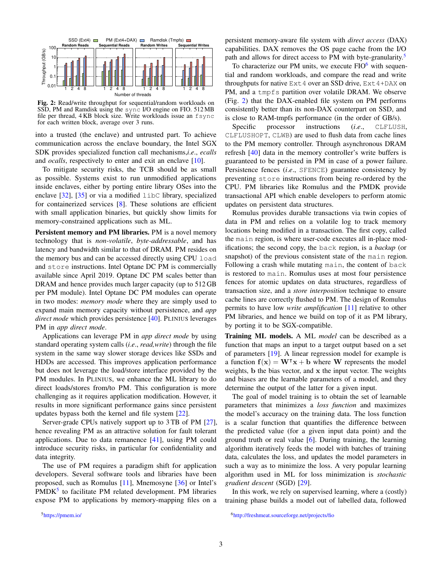<span id="page-2-2"></span>

Fig. 2: Read/write throughput for sequential/random workloads on SSD, PM and Ramdisk using the sync I/O engine on FIO. 512 MB file per thread, 4 KB block size. Write workloads issue an fsync for each written block, average over 3 runs.

into a trusted (the enclave) and untrusted part. To achieve communication across the enclave boundary, the Intel SGX SDK provides specialized function call mechanisms,*i*.*e*., *ecalls* and *ocalls*, respectively to enter and exit an enclave [\[10\]](#page-10-17).

To mitigate security risks, the TCB should be as small as possible. Systems exist to run unmodified applications inside enclaves, either by porting entire library OSes into the enclave  $[32]$ ,  $[35]$  or via a modified libc library, specialized for containerized services [\[8\]](#page-10-14). These solutions are efficient with small application binaries, but quickly show limits for memory-constrained applications such as ML.

Persistent memory and PM libraries. PM is a novel memory technology that is *non-volatile*, *byte-addressable*, and has latency and bandwidth similar to that of DRAM. PM resides on the memory bus and can be accessed directly using CPU load and store instructions. Intel Optane DC PM is commercially available since April 2019. Optane DC PM scales better than DRAM and hence provides much larger capacity (up to 512 GB per PM module). Intel Optane DC PM modules can operate in two modes: *memory mode* where they are simply used to expand main memory capacity without persistence, and *app direct mode* which provides persistence [\[40\]](#page-10-7). PLINIUS leverages PM in *app direct mode*.

Applications can leverage PM in *app direct mode* by using standard operating system calls (*i*.*e*., *read,write*) through the file system in the same way slower storage devices like SSDs and HDDs are accessed. This improves application performance but does not leverage the load/store interface provided by the PM modules. In PLINIUS, we enhance the ML library to do direct loads/stores from/to PM. This configuration is more challenging as it requires application modification. However, it results in more significant performance gains since persistent updates bypass both the kernel and file system [\[22\]](#page-10-18).

Server-grade CPUs natively support up to 3 TB of PM [\[27\]](#page-10-19), hence revealing PM as an attractive solution for fault tolerant applications. Due to data remanence [\[41\]](#page-10-20), using PM could introduce security risks, in particular for confidentiality and data integrity.

The use of PM requires a paradigm shift for application developers. Several software tools and libraries have been proposed, such as Romulus [\[11\]](#page-10-9), Mnemosyne [\[36\]](#page-10-21) or Intel's PMDK<sup>[5](#page-2-0)</sup> to facilitate PM related development. PM libraries expose PM to applications by memory-mapping files on a persistent memory-aware file system with *direct access* (DAX) capabilities. DAX removes the OS page cache from the I/O path and allows for direct access to PM with byte-granularity.<sup>[5](#page-2-0)</sup>

To characterize our PM units, we execute  $FIO<sup>6</sup>$  $FIO<sup>6</sup>$  $FIO<sup>6</sup>$  with sequential and random workloads, and compare the read and write throughputs for native  $Ext 4$  over an SSD drive,  $Ext 4+DAX$  on PM, and a tmpfs partition over volatile DRAM. We observe (Fig. [2\)](#page-2-2) that the DAX-enabled file system on PM performs consistently better than its non-DAX counterpart on SSD, and is close to RAM-tmpfs performance (in the order of GB/s).

Specific processor instructions (*i.e.*, CLFLUSH, CLFLUSHOPT, CLWB) are used to flush data from cache lines to the PM memory controller. Through asynchronous DRAM refresh [\[40\]](#page-10-7) data in the memory controller's write buffers is guaranteed to be persisted in PM in case of a power failure. Persistence fences (*i.e.*, SFENCE) guarantee consistency by preventing store instructions from being re-ordered by the CPU. PM libraries like Romulus and the PMDK provide transactional API which enable developers to perform atomic updates on persistent data structures.

Romulus provides durable transactions via twin copies of data in PM and relies on a volatile log to track memory locations being modified in a transaction. The first copy, called the main region, is where user-code executes all in-place modifications; the second copy, the back region, is a *backup* (or snapshot) of the previous consistent state of the main region. Following a crash while mutating main, the content of back is restored to main. Romulus uses at most four persistence fences for atomic updates on data structures, regardless of transaction size, and a *store interposition* technique to ensure cache lines are correctly flushed to PM. The design of Romulus permits to have low *write amplification* [\[11\]](#page-10-9) relative to other PM libraries, and hence we build on top of it as PM library, by porting it to be SGX-compatible.

Training ML models. A ML *model* can be described as a function that maps an input to a target output based on a set of parameters [\[19\]](#page-10-22). A linear regression model for example is a function  $f(x) = W^{\mathsf{T}}x + b$  where W represents the model weights, b the bias vector, and x the input vector. The weights and biases are the learnable parameters of a model, and they determine the output of the latter for a given input.

The goal of model training is to obtain the set of learnable parameters that minimizes a *loss function* and maximizes the model's accuracy on the training data. The loss function is a scalar function that quantifies the difference between the predicted value (for a given input data point) and the ground truth or real value  $[6]$ . During training, the learning algorithm iteratively feeds the model with batches of training data, calculates the loss, and updates the model parameters in such a way as to minimize the loss. A very popular learning algorithm used in ML for loss minimization is *stochastic gradient descent* (SGD) [\[29\]](#page-10-23).

In this work, we rely on supervised learning, where a (costly) training phase builds a model out of labelled data, followed

<span id="page-2-0"></span><sup>5</sup><https://pmem.io/>

<span id="page-2-1"></span><sup>6</sup><http://freshmeat.sourceforge.net/projects/fio>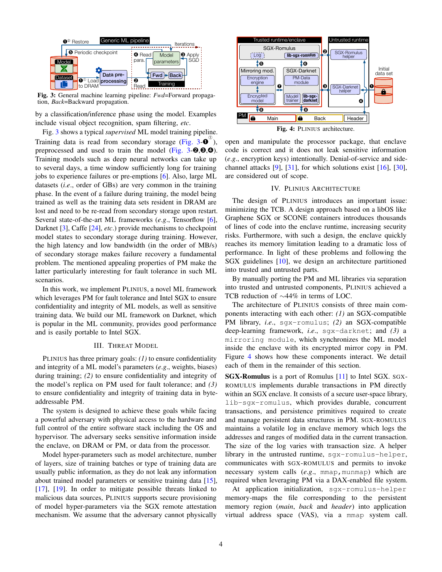<span id="page-3-0"></span>

Fig. 3: General machine learning pipeline: *Fwd*=Forward propagation, *Back*=Backward propagation.

by a classification/inference phase using the model. Examples include visual object recognition, spam filtering, *etc*.

Fig. [3](#page-3-0) shows a typical *supervised* ML model training pipeline. Training data is read from secondary storage (Fig.  $3-\theta^{\circ}$ ), preprocessed and used to train the model [\(Fig. 3-](#page-3-0)➋,➌,➍). Training models such as deep neural networks can take up to several days, a time window sufficiently long for training jobs to experience failures or pre-emptions [\[6\]](#page-10-10). Also, large ML datasets (*i*.*e*., order of GBs) are very common in the training phase. In the event of a failure during training, the model being trained as well as the training data sets resident in DRAM are lost and need to be re-read from secondary storage upon restart. Several state-of-the-art ML frameworks (*e*.*g*., Tensorflow [\[6\]](#page-10-10), Darknet [\[3\]](#page-10-11), Caffe [\[24\]](#page-10-24), *etc*.) provide mechanisms to checkpoint model states to secondary storage during training. However, the high latency and low bandwidth (in the order of MB/s) of secondary storage makes failure recovery a fundamental problem. The mentioned appealing properties of PM make the latter particularly interesting for fault tolerance in such ML scenarios.

In this work, we implement PLINIUS, a novel ML framework which leverages PM for fault tolerance and Intel SGX to ensure confidentiality and integrity of ML models, as well as sensitive training data. We build our ML framework on Darknet, which is popular in the ML community, provides good performance and is easily portable to Intel SGX.

## III. THREAT MODEL

<span id="page-3-1"></span>PLINIUS has three primary goals: *(1)* to ensure confidentiality and integrity of a ML model's parameters (*e*.*g*., weights, biases) during training; *(2)* to ensure confidentiality and integrity of the model's replica on PM used for fault tolerance; and *(3)* to ensure confidentiality and integrity of training data in byteaddressable PM.

The system is designed to achieve these goals while facing a powerful adversary with physical access to the hardware and full control of the entire software stack including the OS and hypervisor. The adversary seeks sensitive information inside the enclave, on DRAM or PM, or data from the processor.

Model hyper-parameters such as model architecture, number of layers, size of training batches or type of training data are usually public information, as they do not leak any information about trained model parameters or sensitive training data [\[15\]](#page-10-25), [\[17\]](#page-10-26), [\[19\]](#page-10-22). In order to mitigate possible threats linked to malicious data sources, PLINIUS supports secure provisioning of model hyper-parameters via the SGX remote attestation mechanism. We assume that the adversary cannot physically

<span id="page-3-3"></span>

Fig. 4: PLINIUS architecture.

open and manipulate the processor package, that enclave code is correct and it does not leak sensitive information (*e*.*g*., encryption keys) intentionally. Denial-of-service and sidechannel attacks [\[9\]](#page-10-27), [\[31\]](#page-10-28), for which solutions exist [\[16\]](#page-10-29), [\[30\]](#page-10-30), are considered out of scope.

#### IV. PLINIUS ARCHITECTURE

<span id="page-3-2"></span>The design of PLINIUS introduces an important issue: minimizing the TCB. A design approach based on a libOS like Graphene SGX or SCONE containers introduces thousands of lines of code into the enclave runtime, increasing security risks. Furthermore, with such a design, the enclave quickly reaches its memory limitation leading to a dramatic loss of performance. In light of these problems and following the SGX guidelines [\[10\]](#page-10-17), we design an architecture partitioned into trusted and untrusted parts.

By manually porting the PM and ML libraries via separation into trusted and untrusted components, PLINIUS achieved a TCB reduction of ∼44% in terms of LOC.

The architecture of PLINIUS consists of three main components interacting with each other: *(1)* an SGX-compatible PM library, *i*.*e*., sgx-romulus; *(2)* an SGX-compatible deep-learning framework, *i*.*e*., sgx-darknet; and *(3)* a mirroring module, which synchronizes the ML model inside the enclave with its encrypted mirror copy in PM. Figure [4](#page-3-3) shows how these components interact. We detail each of them in the remainder of this section.

SGX-Romulus is a port of Romulus [\[11\]](#page-10-9) to Intel SGX. SGX-ROMULUS implements durable transactions in PM directly within an SGX enclave. It consists of a secure user-space library, lib-sgx-romulus, which provides durable, concurrent transactions, and persistence primitives required to create and manage persistent data structures in PM. SGX-ROMULUS maintains a volatile log in enclave memory which logs the addresses and ranges of modified data in the current transaction. The size of the log varies with transaction size. A helper library in the untrusted runtime, sgx-romulus-helper, communicates with SGX-ROMULUS and permits to invoke necessary system calls (e.g., mmap, munmap) which are required when leveraging PM via a DAX-enabled file system.

At application initialization, sgx-romulus-helper memory-maps the file corresponding to the persistent memory region (*main*, *back* and *header*) into application virtual address space (VAS), via a mmap system call.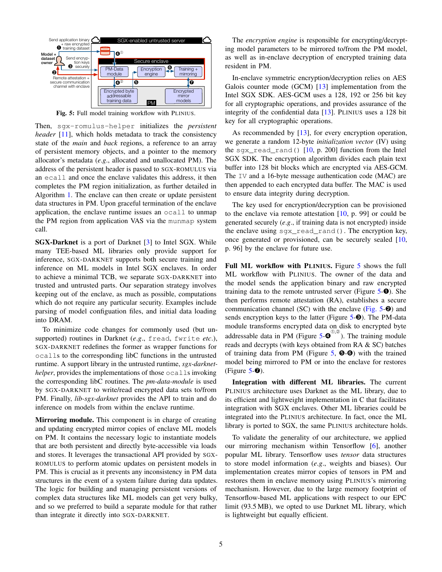<span id="page-4-0"></span>

Fig. 5: Full model training workflow with PLINIUS.

Then, sgx-romulus-helper initializes the *persistent header* [\[11\]](#page-10-9), which holds metadata to track the consistency state of the *main* and *back* regions, a reference to an array of persistent memory objects, and a pointer to the memory allocator's metadata (*e*.*g*., allocated and unallocated PM). The address of the persistent header is passed to SGX-ROMULUS via an ecall and once the enclave validates this address, it then completes the PM region initialization, as further detailed in Algorithm [1.](#page-5-2) The enclave can then create or update persistent data structures in PM. Upon graceful termination of the enclave application, the enclave runtime issues an ocall to unmap the PM region from application VAS via the munmap system call.

SGX-Darknet is a port of Darknet [\[3\]](#page-10-11) to Intel SGX. While many TEE-based ML libraries only provide support for inference, SGX-DARKNET supports both secure training and inference on ML models in Intel SGX enclaves. In order to achieve a minimal TCB, we separate SGX-DARKNET into trusted and untrusted parts. Our separation strategy involves keeping out of the enclave, as much as possible, computations which do not require any particular security. Examples include parsing of model configuation files, and initial data loading into DRAM.

To minimize code changes for commonly used (but unsupported) routines in Darknet (*e*.*g*., fread, fwrite *etc*.), SGX-DARKNET redefines the former as wrapper functions for ocalls to the corresponding libC functions in the untrusted runtime. A support library in the untrusted runtime, *sgx-darknethelper*, provides the implementations of those  $\text{ocalls}$  invoking the corresponding libC routines. The *pm-data-module* is used by SGX-DARKNET to write/read encrypted data sets to/from PM. Finally, *lib-sgx-darknet* provides the API to train and do inference on models from within the enclave runtime.

Mirroring module. This component is in charge of creating and updating encrypted mirror copies of enclave ML models on PM. It contains the necessary logic to instantiate models that are both persistent and directly byte-accessible via loads and stores. It leverages the transactional API provided by SGX-ROMULUS to perform atomic updates on persistent models in PM. This is crucial as it prevents any inconsistency in PM data structures in the event of a system failure during data updates. The logic for building and managing persistent versions of complex data structures like ML models can get very bulky, and so we preferred to build a separate module for that rather than integrate it directly into SGX-DARKNET.

The *encryption engine* is responsible for encrypting/decrypting model parameters to be mirrored to/from the PM model, as well as in-enclave decryption of encrypted training data resident in PM.

In-enclave symmetric encryption/decryption relies on AES Galois counter mode (GCM) [\[13\]](#page-10-31) implementation from the Intel SGX SDK. AES-GCM uses a 128, 192 or 256 bit key for all cryptographic operations, and provides assurance of the integrity of the confidential data [\[13\]](#page-10-31). PLINIUS uses a 128 bit key for all cryptographic operations.

As recommended by [\[13\]](#page-10-31), for every encryption operation, we generate a random 12-byte *initialization vector* (IV) using the sqx\_read\_rand()  $[10, p. 200]$  $[10, p. 200]$  function from the Intel SGX SDK. The encryption algorithm divides each plain text buffer into 128 bit blocks which are encrypted via AES-GCM. The IV and a 16-byte message authentication code (MAC) are then appended to each encrypted data buffer. The MAC is used to ensure data integrity during decryption.

The key used for encryption/decryption can be provisioned to the enclave via remote attestation  $[10, p. 99]$  $[10, p. 99]$  or could be generated securely (*e*.*g*., if training data is not encrypted) inside the enclave using sqx read rand(). The encryption key, once generated or provisioned, can be securely sealed [\[10,](#page-10-17) p. 96] by the enclave for future use.

Full ML workflow with PLINIUS. Figure [5](#page-4-0) shows the full ML workflow with PLINIUS. The owner of the data and the model sends the application binary and raw encrypted training data to the remote untrusted server (Figure  $5-\bullet$  $5-\bullet$ ). She then performs remote attestation (RA), establishes a secure communication channel (SC) with the enclave (Fig.  $5-\Theta$ ) and sends encryption keys to the latter (Figure [5-](#page-4-0)<sup>6</sup>). The PM-data module transforms encrypted data on disk to encrypted byte addressable data in PM (Figure  $5-\Theta^{(0,0)}$  $5-\Theta^{(0,0)}$ ). The training module reads and decrypts (with keys obtained from RA & SC) batches of training data from PM (Figure  $5, \Theta$  $5, \Theta$ - $\Theta$ ) with the trained model being mirrored to PM or into the enclave for restores (Figure  $5-⑤$  $5-⑤$ ).

Integration with different ML libraries. The current PLINIUS architecture uses Darknet as the ML library, due to its efficient and lightweight implementation in C that facilitates integration with SGX enclaves. Other ML libraries could be integrated into the PLINIUS architecture. In fact, once the ML library is ported to SGX, the same PLINIUS architecture holds.

To validate the generality of our architecture, we applied our mirroring mechanism within Tensorflow [\[6\]](#page-10-10), another popular ML library. Tensorflow uses *tensor* data structures to store model information (*e*.*g*., weights and biases). Our implementation creates mirror copies of tensors in PM and restores them in enclave memory using PLINIUS's mirroring mechanism. However, due to the large memory footprint of Tensorflow-based ML applications with respect to our EPC limit (93.5 MB), we opted to use Darknet ML library, which is lightweight but equally efficient.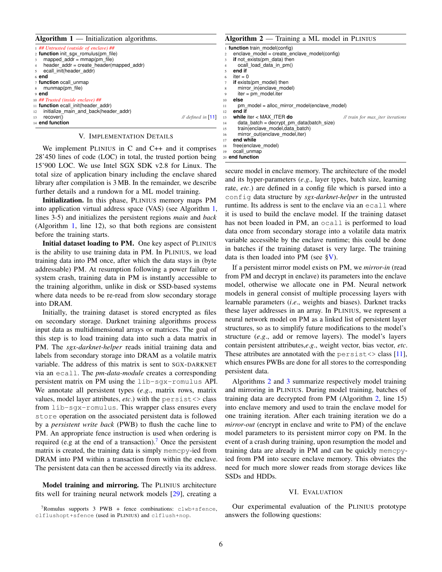<span id="page-5-2"></span>

| Algorithm $1$ — Initialization algorithms.                             |                               | Algorithm $2$ — Training a ML model in PLINIUS |                                              |                                  |  |
|------------------------------------------------------------------------|-------------------------------|------------------------------------------------|----------------------------------------------|----------------------------------|--|
| 1 ## Untrusted (outside of enclave) ##                                 |                               | function train model(config)                   |                                              |                                  |  |
| 2 <b>function</b> init sgx romulus(pm file)                            |                               |                                                | enclave model = create enclave model(config) |                                  |  |
| 3 mapped $addr = mmap(pm file)$                                        |                               |                                                | if not exists (pm data) then                 |                                  |  |
| header addr = create header(mapped addr)<br>$\overline{4}$             |                               |                                                | ocall load data in pm()                      |                                  |  |
| 5 ecall init(header addr)                                              |                               |                                                | end if                                       |                                  |  |
| $6$ end                                                                |                               |                                                | $iter = 0$                                   |                                  |  |
| 7 function ocall unmap                                                 |                               |                                                | if exists (pm model) then                    |                                  |  |
| s munmap(pm file)                                                      |                               | 8                                              | mirror in(enclave model)                     |                                  |  |
| 9 end                                                                  |                               | 9                                              | $iter = pm$ model.iter                       |                                  |  |
| 10 ## Trusted (inside enclave) ##                                      |                               | 10                                             | else                                         |                                  |  |
| 11 <b>function</b> ecall init(header addr)                             |                               |                                                | pm model = alloc mirror model(enclave model) |                                  |  |
| 12 initialize main and back(header addr)                               |                               | 12                                             | end if                                       |                                  |  |
| 13 recover()                                                           | $\mathcal{U}$ defined in [11] | 13                                             | while iter $<$ MAX ITER do                   | // train for max iter iterations |  |
| 14 end function                                                        |                               | 14                                             | data batch = decrypt pm data(batch size)     |                                  |  |
|                                                                        |                               | 15                                             | train(enclave model, data batch)             |                                  |  |
| V. IMPLEMENTATION DETAILS                                              |                               | 16                                             | mirror out(enclave model, iter)              |                                  |  |
|                                                                        |                               | 17                                             | end while                                    |                                  |  |
| $W_{\alpha}$ implement DUNIUS in $C$ and $C_{\alpha}$ and it comprises |                               | 18                                             | free(enclave model)                          |                                  |  |

<span id="page-5-5"></span>19 ocall\_unmap 20 **end function**

<span id="page-5-4"></span><span id="page-5-0"></span>We implement PLINIUS in C and C++ and it comprises 28'450 lines of code (LOC) in total, the trusted portion being 15'900 LOC. We use Intel SGX SDK v2.8 for Linux. The total size of application binary including the enclave shared library after compilation is 3 MB. In the remainder, we describe further details and a rundown for a ML model training.

Initialization. In this phase, PLINIUS memory maps PM into application virtual address space (VAS) (see Algorithm [1,](#page-5-2) lines 3-5) and initializes the persistent regions *main* and *back* (Algorithm [1,](#page-5-2) line 12), so that both regions are consistent before the training starts.

Initial dataset loading to PM. One key aspect of PLINIUS is the ability to use training data in PM. In PLINIUS, we load training data into PM once, after which the data stays in (byte addressable) PM. At resumption following a power failure or system crash, training data in PM is instantly accessible to the training algorithm, unlike in disk or SSD-based systems where data needs to be re-read from slow secondary storage into DRAM.

Initially, the training dataset is stored encrypted as files on secondary storage. Darknet training algorithms process input data as multidimensional arrays or matrices. The goal of this step is to load training data into such a data matrix in PM. The *sgx-darknet-helper* reads initial training data and labels from secondary storage into DRAM as a volatile matrix variable. The address of this matrix is sent to SGX-DARKNET via an ecall. The *pm-data-module* creates a corresponding persistent matrix on PM using the lib-sgx-romulus API. We annotate all persistent types (*e*.*g*., matrix rows, matrix values, model layer attributes, *etc*.) with the persist<> class from lib-sgx-romulus. This wrapper class ensures every store operation on the associated persistent data is followed by a *persistent write back* (PWB) to flush the cache line to PM. An appropriate fence instruction is used when ordering is required (e.g at the end of a transaction).<sup>[7](#page-5-3)</sup> Once the persistent matrix is created, the training data is simply memcpy-ied from DRAM into PM within a transaction from within the enclave. The persistent data can then be accessed directly via its address.

Model training and mirroring. The PLINIUS architecture fits well for training neural network models [\[29\]](#page-10-23), creating a

| secure model in enclave memory. The architecture of the model                      |
|------------------------------------------------------------------------------------|
| and its hyper-parameters $(e.g.,$ layer types, batch size, learning                |
| rate, <i>etc.</i> ) are defined in a config file which is parsed into a            |
| configured configured at a structure by <i>sgx-darknet-helper</i> in the untrusted |
| runtime. Its address is sent to the enclave via an ecall where                     |
| it is used to build the enclave model. If the training dataset                     |
| has not been loaded in PM, an ocall is performed to load                           |
| data once from secondary storage into a volatile data matrix                       |
| variable accessible by the enclave runtime; this could be done                     |
| in batches if the training dataset is very large. The training                     |
| data is then loaded into PM (see $\gamma$ ).                                       |

If a persistent mirror model exists on PM, we *mirror-in* (read from PM and decrypt in enclave) its parameters into the enclave model, otherwise we allocate one in PM. Neural network models in general consist of multiple processing layers with learnable parameters (*i*.*e*., weights and biases). Darknet tracks these layer addresses in an array. In PLINIUS, we represent a neural network model on PM as a linked list of persistent layer structures, so as to simplify future modifications to the model's structure (*e*.*g*., add or remove layers). The model's layers contain persistent attributes,*e*.*g*., weight vector, bias vector, *etc*. These attributes are annotated with the  $persist \ll class$  [\[11\]](#page-10-9), which ensures PWBs are done for all stores to the corresponding persistent data.

Algorithms [2](#page-5-5) and [3](#page-6-0) summarize respectively model training and mirroring in PLINIUS. During model training, batches of training data are decrypted from PM (Algorithm [2,](#page-5-5) line 15) into enclave memory and used to train the enclave model for one training iteration. After each training iteration we do a *mirror-out* (encrypt in enclave and write to PM) of the enclave model parameters to its persistent mirror copy on PM. In the event of a crash during training, upon resumption the model and training data are already in PM and can be quickly memcpyied from PM into secure enclave memory. This obviates the need for much more slower reads from storage devices like SSDs and HDDs.

### VI. EVALUATION

<span id="page-5-1"></span>Our experimental evaluation of the PLINIUS prototype answers the following questions:

<span id="page-5-3"></span> $7$ Romulus supports 3 PWB + fence combinations: clwb+sfence, clflushopt+sfence (used in PLINIUS) and clflush+nop.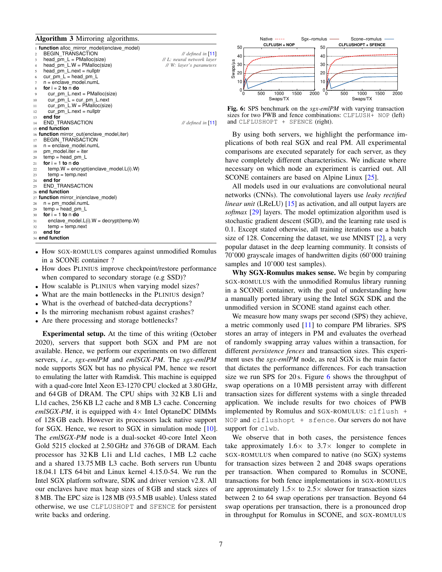<span id="page-6-0"></span>Algorithm 3 Mirroring algorithms.

|                | 1 function alloc_mirror_model(enclave_model)  |                            |
|----------------|-----------------------------------------------|----------------------------|
| $\overline{c}$ | <b>BEGIN TRANSACTION</b>                      | // defined in $[11]$       |
| 3              | head $pm L = PMalloc(size)$                   | // L: neural network layer |
| 4              | head $pm$ L.W = PMalloc(size)                 | // W: layer's parameters   |
| 5              | head $pm$ L.next = nullptr                    |                            |
| 6              | cur pm $L = head$ pm $L$                      |                            |
| 7              | $n =$ enclave model.numL                      |                            |
| 8              | for $i = 2$ to n do                           |                            |
| 9              | cur pm $L.next = PMalloc(size)$               |                            |
| 10             | cur pm $L = cur$ pm $L.next$                  |                            |
| 11             | cur pm $L.W = PMalloc(size)$                  |                            |
| 12             | cur pm $L.next = nullptr$                     |                            |
| 13             | end for                                       |                            |
| 14             | <b>END TRANSACTION</b>                        | // defined in $[11]$       |
|                | 15 end function                               |                            |
|                | 16 function mirror_out(enclave_model, iter)   |                            |
| 17             | <b>BEGIN TRANSACTION</b>                      |                            |
| 18             | $n =$ enclave model.numL                      |                            |
| 19             | pm model.iter = iter                          |                            |
| 20             | $temp = head pm L$                            |                            |
| 21             | for $i = 1$ to n do                           |                            |
| 22             | $temp.W = encrypt(enclave model.L(i).W)$      |                            |
| 23             | $temp = temp.next$                            |                            |
| 24             | end for                                       |                            |
| 25             | <b>END TRANSACTION</b>                        |                            |
|                | 26 end function                               |                            |
|                | 27 function mirror_in(enclave_model)          |                            |
| 28             | $n = pm$ model.numL                           |                            |
| 29             | $temp = head pm L$                            |                            |
| 30             | for $i = 1$ to n do                           |                            |
| 31             | enclave model. $L(i)$ . $W =$ decrypt(temp.W) |                            |
| 32             | $temp = temp.next$                            |                            |
| 33             | end for                                       |                            |
|                | 34 end function                               |                            |

- How SGX-ROMULUS compares against unmodified Romulus in a SCONE container ?
- How does PLINIUS improve checkpoint/restore performance when compared to secondary storage (e.g SSD)?
- How scalable is PLINIUS when varying model sizes?
- What are the main bottlenecks in the PLINIUS design?
- What is the overhead of batched-data decryptions?
- Is the mirroring mechanism robust against crashes?
- Are there processing and storage bottlenecks?

Experimental setup. At the time of this writing (October 2020), servers that support both SGX and PM are not available. Hence, we perform our experiments on two different servers, *i*.*e*., *sgx-emlPM* and *emlSGX-PM*. The *sgx-emlPM* node supports SGX but has no physical PM, hence we resort to emulating the latter with Ramdisk. This machine is equipped with a quad-core Intel Xeon E3-1270 CPU clocked at 3.80 GHz, and 64 GB of DRAM. The CPU ships with 32 KB L1i and L1d caches, 256 KB L2 cache and 8 MB L3 cache. Concerning *emlSGX-PM*, it is equipped with  $4 \times$  Intel OptaneDC DIMMs of 128 GB each. However its processors lack native support for SGX. Hence, we resort to SGX in simulation mode [\[10\]](#page-10-17). The *emlSGX-PM* node is a dual-socket 40-core Intel Xeon Gold 5215 clocked at 2.50 GHz and 376 GB of DRAM. Each processor has 32 KB L1i and L1d caches, 1 MB L2 cache and a shared 13.75 MB L3 cache. Both servers run Ubuntu 18.04.1 LTS 64 bit and Linux kernel 4.15.0-54. We run the Intel SGX platform software, SDK and driver version v2.8. All our enclaves have max heap sizes of 8 GB and stack sizes of 8 MB. The EPC size is 128 MB (93.5 MB usable). Unless stated otherwise, we use CLFLUSHOPT and SFENCE for persistent write backs and ordering.

<span id="page-6-1"></span>

Fig. 6: SPS benchmark on the *sgx-emlPM* with varying transaction sizes for two PWB and fence combinations: CLFLUSH+ NOP (left) and CLFLUSHOPT + SFENCE (right).

By using both servers, we highlight the performance implications of both real SGX and real PM. All experimental comparisons are executed separately for each server, as they have completely different characteristics. We indicate where necessary on which node an experiment is carried out. All SCONE containers are based on Alpine Linux [\[25\]](#page-10-32).

All models used in our evaluations are convolutional neural networks (CNNs). The convolutional layers use *leaky rectified linear unit* (LReLU) [\[15\]](#page-10-25) as activation, and all output layers are *softmax* [\[29\]](#page-10-23) layers. The model optimization algorithm used is stochastic gradient descent (SGD), and the learning rate used is 0.1. Except stated otherwise, all training iterations use a batch size of 128. Concerning the dataset, we use MNIST  $[2]$ , a very popular dataset in the deep learning community. It consists of 70'000 grayscale images of handwritten digits (60'000 training samples and 10'000 test samples).

Why SGX-Romulus makes sense. We begin by comparing SGX-ROMULUS with the unmodified Romulus library running in a SCONE container, with the goal of understanding how a manually ported library using the Intel SGX SDK and the unmodified version in SCONE stand against each other.

We measure how many swaps per second (SPS) they achieve, a metric commonly used [\[11\]](#page-10-9) to compare PM libraries. SPS stores an array of integers in PM and evaluates the overhead of randomly swapping array values within a transaction, for different *persistence fences* and transaction sizes. This experiment uses the *sgx-emlPM* node, as real SGX is the main factor that dictates the performance differences. For each transaction size we run SPS for 20 s. Figure [6](#page-6-1) shows the throughput of swap operations on a 10 MB persistent array with different transaction sizes for different systems with a single threaded application. We include results for two choices of PWB implemented by Romulus and SGX-ROMULUS: clflush + NOP and clflushopt + sfence. Our servers do not have support for clwb.

We observe that in both cases, the persistence fences take approximately  $1.6\times$  to  $3.7\times$  longer to complete in SGX-ROMULUS when compared to native (no SGX) systems for transaction sizes between 2 and 2048 swaps operations per transaction. When compared to Romulus in SCONE, transactions for both fence implementations in SGX-ROMULUS are approximately  $1.5 \times$  to  $2.5 \times$  slower for transaction sizes between 2 to 64 swap operations per transaction. Beyond 64 swap operations per transaction, there is a pronounced drop in throughput for Romulus in SCONE, and SGX-ROMULUS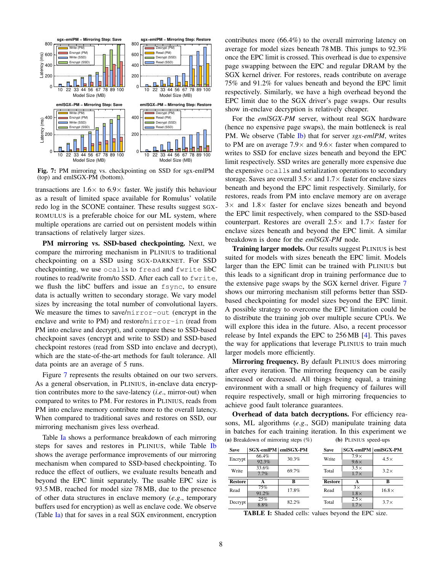<span id="page-7-0"></span>

Fig. 7: PM mirroring vs. checkpointing on SSD for sgx-emlPM (top) and emlSGX-PM (bottom).

transactions are  $1.6 \times$  to  $6.9 \times$  faster. We justify this behaviour as a result of limited space available for Romulus' volatile redo log in the SCONE container. These results suggest SGX-ROMULUS is a preferable choice for our ML system, where multiple operations are carried out on persistent models within transactions of relatively larger sizes.

PM mirroring vs. SSD-based checkpointing. Next, we compare the mirroring mechanism in PLINIUS to traditional checkpointing on a SSD using SGX-DARKNET. For SSD checkpointing, we use ocalls to fread and fwrite libC routines to read/write from/to SSD. After each call to fwrite, we flush the libC buffers and issue an fsync, to ensure data is actually written to secondary storage. We vary model sizes by increasing the total number of convolutional layers. We measure the times to save/mirror-out (encrypt in the enclave and write to PM) and restore/mirror-in (read from PM into enclave and decrypt), and compare these to SSD-based checkpoint saves (encrypt and write to SSD) and SSD-based checkpoint restores (read from SSD into enclave and decrypt), which are the state-of-the-art methods for fault tolerance. All data points are an average of 5 runs.

Figure [7](#page-7-0) represents the results obtained on our two servers. As a general observation, in PLINIUS, in-enclave data encryption contributes more to the save-latency (*i*.*e*., mirror-out) when compared to writes to PM. For restores in PLINIUS, reads from PM into enclave memory contribute more to the overall latency. When compared to traditional saves and restores on SSD, our mirroring mechanism gives less overhead.

Table [Ia](#page-7-1) shows a performance breakdown of each mirroring steps for saves and restores in PLINIUS, while Table [Ib](#page-7-1) shows the average performance improvements of our mirroring mechanism when compared to SSD-based checkpointing. To reduce the effect of outliers, we evaluate results beneath and beyond the EPC limit separately. The usable EPC size is 93.5 MB, reached for model size 78 MB, due to the presence of other data structures in enclave memory (*e*.*g*., temporary buffers used for encryption) as well as enclave code. We observe (Table [Ia\)](#page-7-1) that for saves in a real SGX environment, encryption contributes more (66.4%) to the overall mirroring latency on average for model sizes beneath 78 MB. This jumps to 92.3% once the EPC limit is crossed. This overhead is due to expensive page swapping between the EPC and regular DRAM by the SGX kernel driver. For restores, reads contribute on average 75% and 91.2% for values beneath and beyond the EPC limit respectively. Similarly, we have a high overhead beyond the EPC limit due to the SGX driver's page swaps. Our results show in-enclave decryption is relatively cheaper.

For the *emlSGX-PM* server, without real SGX hardware (hence no expensive page swaps), the main bottleneck is real PM. We observe (Table [Ib\)](#page-7-1) that for server *sgx-emlPM*, writes to PM are on average  $7.9\times$  and  $9.6\times$  faster when compared to writes to SSD for enclave sizes beneath and beyond the EPC limit respectively. SSD writes are generally more expensive due the expensive ocalls and serialization operations to secondary storage. Saves are overall  $3.5\times$  and  $1.7\times$  faster for enclave sizes beneath and beyond the EPC limit respectively. Similarly, for restores, reads from PM into enclave memory are on average  $3\times$  and  $1.8\times$  faster for enclave sizes beneath and beyond the EPC limit respectively, when compared to the SSD-based counterpart. Restores are overall  $2.5\times$  and  $1.7\times$  faster for enclave sizes beneath and beyond the EPC limit. A similar breakdown is done for the *emlSGX-PM* node.

Training larger models. Our results suggest PLINIUS is best suited for models with sizes beneath the EPC limit. Models larger than the EPC limit can be trained with PLINIUS but this leads to a significant drop in training performance due to the extensive page swaps by the SGX kernel driver. Figure [7](#page-7-0) shows our mirroring mechanism still peforms better than SSDbased checkpointing for model sizes beyond the EPC limit. A possible strategy to overcome the EPC limitation could be to distribute the training job over multiple secure CPUs. We will explore this idea in the future. Also, a recent processor release by Intel expands the EPC to 256 MB [\[4\]](#page-10-33). This paves the way for applications that leverage PLINIUS to train much larger models more efficiently.

Mirroring frequency. By default PLINIUS does mirroring after every iteration. The mirroring frequency can be easily increased or decreased. All things being equal, a training environment with a small or high frequency of failures will require respectively, small or high mirroring frequencies to achieve good fault tolerance guarantees.

Overhead of data batch decryptions. For efficiency reasons, ML algorithms (*e*.*g*., SGD) manipulate training data in batches for each training iteration. In this experiment we (a) Breakdown of mirroring steps (%) (b) PLINIUS speed-ups

<span id="page-7-1"></span>

| <b>Save</b>    | SGX-emIPM emISGX-PM |       | <b>Save</b>    | SGX-emlPM   emlSGX-PM |              |
|----------------|---------------------|-------|----------------|-----------------------|--------------|
| Encrypt        | 66.4%               | 30.3% | Write          | $7.9\times$           | $4.5\times$  |
|                | 92.3%               |       |                | $9.6\times$           |              |
| Write          | 33.6%               | 69.7% | Total          | $3.5\times$           | $3.2\times$  |
|                | 7.7%                |       |                | $1.7\times$           |              |
| <b>Restore</b> | A                   | B     | <b>Restore</b> |                       | B            |
| Read           | 75%                 | 17.8% | Read           | $\overline{3x}$       | $16.8\times$ |
|                | 91.2%               |       |                | $1.8\times$           |              |
| Decrypt        | 25%                 | 82.2% | Total          | $2.5\times$           | $3.7\times$  |
|                | 8.8%                |       |                | $1.7\times$           |              |

TABLE I: Shaded cells: values beyond the EPC size.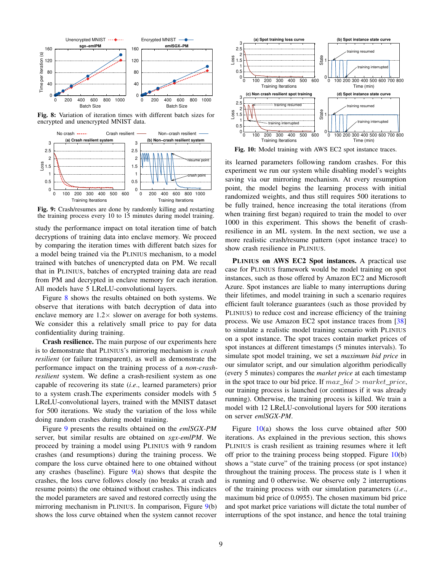<span id="page-8-0"></span>

Fig. 8: Variation of iteration times with different batch sizes for encrypted and unencrypted MNIST data.

<span id="page-8-1"></span>

Fig. 9: Crash/resumes are done by randomly killing and restarting the training process every 10 to 15 minutes during model training.

study the performance impact on total iteration time of batch decryptions of training data into enclave memory. We proceed by comparing the iteration times with different batch sizes for a model being trained via the PLINIUS mechanism, to a model trained with batches of unencrypted data on PM. We recall that in PLINIUS, batches of encrypted training data are read from PM and decrypted in enclave memory for each iteration. All models have 5 LReLU-convolutional layers.

Figure [8](#page-8-0) shows the results obtained on both systems. We observe that iterations with batch decryption of data into enclave memory are  $1.2 \times$  slower on average for both systems. We consider this a relatively small price to pay for data confidentiality during training.

Crash resilience. The main purpose of our experiments here is to demonstrate that PLINIUS's mirroring mechanism is *crash resilient* (or failure transparent), as well as demonstrate the performance impact on the training process of a *non-crashresilient* system. We define a crash-resilient system as one capable of recovering its state (*i*.*e*., learned parameters) prior to a system crash.The experiments consider models with 5 LReLU-convolutional layers, trained with the MNIST dataset for 500 iterations. We study the variation of the loss while doing random crashes during model training.

Figure [9](#page-8-1) presents the results obtained on the *emlSGX-PM* server, but similar results are obtained on *sgx-emlPM*. We proceed by training a model using PLINIUS with 9 random crashes (and resumptions) during the training process. We compare the loss curve obtained here to one obtained without any crashes (baseline). Figure  $9(a)$  $9(a)$  shows that despite the crashes, the loss curve follows closely (no breaks at crash and resume points) the one obtained without crashes. This indicates the model parameters are saved and restored correctly using the mirroring mechanism in PLINIUS. In comparison, Figure [9\(](#page-8-1)b) shows the loss curve obtained when the system cannot recover

<span id="page-8-2"></span>

Fig. 10: Model training with AWS EC2 spot instance traces.

its learned parameters following random crashes. For this experiment we run our system while disabling model's weights saving via our mirroring mechanism. At every resumption point, the model begins the learning process with initial randomized weights, and thus still requires 500 iterations to be fully trained, hence increasing the total iterations (from when training first began) required to train the model to over 1000 in this experiment. This shows the benefit of crashresilience in an ML system. In the next section, we use a more realistic crash/resume pattern (spot instance trace) to show crash resilience in PLINIUS.

PLINIUS on AWS EC2 Spot instances. A practical use case for PLINIUS framework would be model training on spot instances, such as those offered by Amazon EC2 and Microsoft Azure. Spot instances are liable to many interruptions during their lifetimes, and model training in such a scenario requires efficient fault tolerance guarantees (such as those provided by PLINIUS) to reduce cost and increase efficiency of the training process. We use Amazon EC2 spot instance traces from [\[38\]](#page-10-5) to simulate a realistic model training scenario with PLINIUS on a spot instance. The spot traces contain market prices of spot instances at different timestamps (5 minutes intervals). To simulate spot model training, we set a *maximum bid price* in our simulator script, and our simulation algorithm periodically (every 5 minutes) compares the *market price* at each timestamp in the spot trace to our bid price. If  $max\_bid > market\_price$ , our training process is launched (or continues if it was already running). Otherwise, the training process is killed. We train a model with 12 LReLU-convolutional layers for 500 iterations on server *emlSGX-PM*.

Figure  $10(a)$  $10(a)$  shows the loss curve obtained after 500 iterations. As explained in the previous section, this shows PLINIUS is crash resilient as training resumes where it left off prior to the training process being stopped. Figure  $10(b)$  $10(b)$ shows a "state curve" of the training process (or spot instance) throughout the training process. The process state is 1 when it is running and 0 otherwise. We observe only 2 interruptions of the training process with our simulation parameters (*i*.*e*., maximum bid price of 0.0955). The chosen maximum bid price and spot market price variations will dictate the total number of interruptions of the spot instance, and hence the total training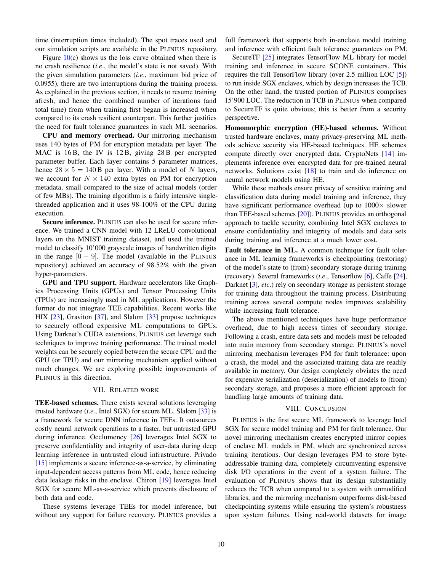time (interruption times included). The spot traces used and our simulation scripts are available in the PLINIUS repository.

Figure  $10(c)$  $10(c)$  shows us the loss curve obtained when there is no crash resilience (*i*.*e*., the model's state is not saved). With the given simulation parameters (*i*.*e*., maximum bid price of 0.0955), there are two interruptions during the training process. As explained in the previous section, it needs to resume training afresh, and hence the combined number of iterations (and total time) from when training first began is increased when compared to its crash resilient counterpart. This further justifies the need for fault tolerance guarantees in such ML scenarios.

CPU and memory overhead. Our mirroring mechanism uses 140 bytes of PM for encryption metadata per layer. The MAC is 16 B, the IV is 12 B, giving 28 B per encrypted parameter buffer. Each layer contains 5 parameter matrices, hence  $28 \times 5 = 140$  B per layer. With a model of N layers, we account for  $N \times 140$  extra bytes on PM for encryption metadata, small compared to the size of actual models (order of few MBs). The training algorithm is a fairly intensive singlethreaded application and it uses 98-100% of the CPU during execution.

Secure inference. PLINIUS can also be used for secure inference. We trained a CNN model with 12 LReLU convolutional layers on the MNIST training dataset, and used the trained model to classify 10'000 grayscale images of handwritten digits in the range  $[0 - 9]$ . The model (available in the PLINIUS repository) achieved an accuracy of 98.52% with the given hyper-parameters.

GPU and TPU support. Hardware accelerators like Graphics Processing Units (GPUs) and Tensor Processing Units (TPUs) are increasingly used in ML applications. However the former do not integrate TEE capabilities. Recent works like HIX [\[23\]](#page-10-34), Graviton [\[37\]](#page-10-35), and Slalom [\[33\]](#page-10-1) propose techniques to securely offload expensive ML computations to GPUs. Using Darknet's CUDA extensions, PLINIUS can leverage such techniques to improve training performance. The trained model weights can be securely copied between the secure CPU and the GPU (or TPU) and our mirroring mechanism applied without much changes. We are exploring possible improvements of PLINIUS in this direction.

## VII. RELATED WORK

<span id="page-9-0"></span>TEE-based schemes. There exists several solutions leveraging trusted hardware (*i*.*e*., Intel SGX) for secure ML. Slalom [\[33\]](#page-10-1) is a framework for secure DNN inference in TEEs. It outsources costly neural network operations to a faster, but untrusted GPU during inference. Occlumency [\[26\]](#page-10-36) leverages Intel SGX to preserve confidentiality and integrity of user-data during deep learning inference in untrusted cloud infrastructure. Privado [\[15\]](#page-10-25) implements a secure inference-as-a-service, by eliminating input-dependent access patterns from ML code, hence reducing data leakage risks in the enclave. Chiron [\[19\]](#page-10-22) leverages Intel SGX for secure ML-as-a-service which prevents disclosure of both data and code.

These systems leverage TEEs for model inference, but without any support for failure recovery. PLINIUS provides a

full framework that supports both in-enclave model training and inference with efficient fault tolerance guarantees on PM.

SecureTF [\[25\]](#page-10-32) integrates TensorFlow ML library for model training and inference in secure SCONE containers. This requires the full TensorFlow library (over 2.5 million LOC [\[5\]](#page-10-37)) to run inside SGX enclaves, which by design increases the TCB. On the other hand, the trusted portion of PLINIUS comprises 15'900 LOC. The reduction in TCB in PLINIUS when compared to SecureTF is quite obvious; this is better from a security perspective.

Homomorphic encryption (HE)-based schemes. Without trusted hardware enclaves, many privacy-preserving ML methods achieve security via HE-based techniques. HE schemes compute directly over encrypted data. CryptoNets [\[14\]](#page-10-38) implements inference over encrypted data for pre-trained neural networks. Solutions exist [\[18\]](#page-10-39) to train and do inference on neural network models using HE.

While these methods ensure privacy of sensitive training and classification data during model training and inference, they have significant performance overhead (up to  $1000 \times$  slower than TEE-based schemes [\[20\]](#page-10-40)). PLINIUS provides an orthogonal approach to tackle security, combining Intel SGX enclaves to ensure confidentiality and integrity of models and data sets during training and inference at a much lower cost.

Fault tolerance in ML. A common technique for fault tolerance in ML learning frameworks is checkpointing (restoring) of the model's state to (from) secondary storage during training (recovery). Several frameworks (*i*.*e*., Tensorflow [\[6\]](#page-10-10), Caffe [\[24\]](#page-10-24), Darknet [\[3\]](#page-10-11), *etc*.) rely on secondary storage as persistent storage for training data throughout the training process. Distributing training across several compute nodes improves scalability while increasing fault tolerance.

The above mentioned techniques have huge performance overhead, due to high access times of secondary storage. Following a crash, entire data sets and models must be reloaded into main memory from secondary storage. PLINIUS's novel mirroring mechanism leverages PM for fault tolerance: upon a crash, the model and the associated training data are readily available in memory. Our design completely obviates the need for expensive serialization (deserialization) of models to (from) secondary storage, and proposes a more efficient approach for handling large amounts of training data.

#### VIII. CONCLUSION

<span id="page-9-1"></span>PLINIUS is the first secure ML framework to leverage Intel SGX for secure model training and PM for fault tolerance. Our novel mirroring mechanism creates encrypted mirror copies of enclave ML models in PM, which are synchronized across training iterations. Our design leverages PM to store byteaddressable training data, completely circumventing expensive disk I/O operations in the event of a system failure. The evaluation of PLINIUS shows that its design substantially reduces the TCB when compared to a system with unmodified libraries, and the mirroring mechanism outperforms disk-based checkpointing systems while ensuring the system's robustness upon system failures. Using real-world datasets for image